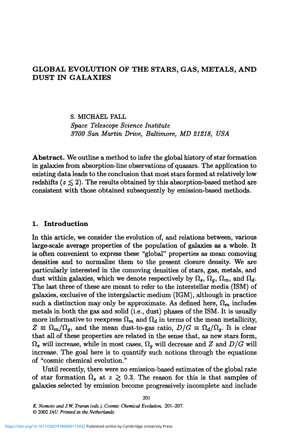# GLOBAL EVOLUTION OF THE STARS, GAS, METALS, AND DUST IN GALAXIES

s. MICHAEL FALL *Space Telescope Science Institute 3700 San Martin Drive, Baltimore, MD* 21218, *USA*

Abstract. We outline a method to infer the global history of star formation in galaxies from absorption-line observations of quasars. The application to existing data leads to the conclusion that most stars formed at relatively low redshifts  $(z \leq 2)$ . The results obtained by this absorption-based method are consistent with those obtained subsequently by emission-based methods.

### 1. Introduction

In this article, we consider the evolution of, and relations between, various large-scale average properties of the population of galaxies as a whole. It is often convenient to express these "global" properties as mean comoving densities and to normalize them to the present closure density. We are particularly interested in the comoving densities of stars, gas, metals, and dust within galaxies, which we denote respectively by  $\Omega_s$ ,  $\Omega_g$ ,  $\Omega_m$ , and  $\Omega_d$ . The last three of these are meant to refer to the interstellar media (ISM) of galaxies, exclusive of the intergalactic medium (IGM), although in practice such a distinction may only be approximate. As defined here,  $\Omega_m$  includes metals in both the gas and solid (i.e., dust) phases of the ISM. It is usually more informative to reexpress  $\Omega_m$  and  $\Omega_d$  in terms of the mean metallicity,  $Z \equiv \Omega_m/\Omega_q$ , and the mean dust-to-gas ratio,  $D/G \equiv \Omega_d/\Omega_q$ . It is clear that all of these properties are related in the sense that, as new stars form,  $\Omega_s$  will increase, while in most cases,  $\Omega_q$  will decrease and *Z* and *D*/*G* will increase. The goal here is to quantify such notions through the equations of "cosmic chemical evolution."

Until recently, there were no emission-based estimates of the global rate of star formation  $\dot{\Omega}_s$  at  $z \geq 0.3$ . The reason for this is that samples of galaxies selected by emission become progressively incomplete and include

201

*K. Nomoto and* 1.*W Truran (eds.), Cosmic Chemical Evolution, 201-207.*

<sup>©</sup> 2002 *Lsl). Printed in the Netherlands.*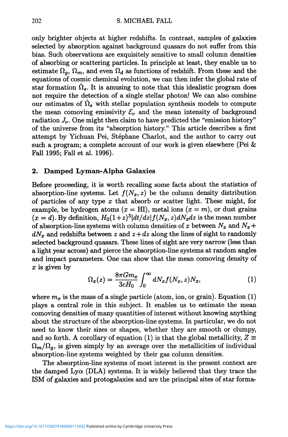only brighter objects at higher redshifts. In contrast, samples of galaxies selected by absorption against background quasars do not suffer from this bias. Such observations are exquisitely sensitive to small column densities of absorbing or scattering particles. In principle at least, they enable us to estimate  $\Omega_q$ ,  $\Omega_m$ , and even  $\Omega_d$  as functions of redshift. From these and the equations of cosmic chemical evolution, we can then infer the global rate of star formation  $\hat{\Omega}_s$ . It is amusing to note that this idealistic program does not require the detection of a single stellar photon! We can also combine our estimates of  $\Omega_s$  with stellar population synthesis models to compute the mean comoving emissivity  $\mathcal{E}_{\nu}$  and the mean intensity of background radiation  $J_{\nu}$ . One might then claim to have predicted the "emission history" of the universe from its "absorption history." This article describes a first attempt by Yichuan Pei, Stephane Charlot, and the author to carry out such a program; a complete account of our work is given elsewhere (Pei & Fall 1995; Fall et al. 1996).

## 2. Damped Lyman-Alpha Galaxies

Before proceeding, it is worth recalling some facts about the statistics of absorption-line systems. Let  $f(N_x, z)$  be the column density distribution of particles of any type *x* that absorb or scatter light. These might, for example, be hydrogen atoms  $(x = HI)$ , metal ions  $(x = m)$ , or dust grains  $(x = d)$ . By definition,  $H_0(1+z)^3|dt/dz|f(N_x, z)dN_x dz$  is the mean number of absorption-line systems with column densities of *x* between  $N_x$  and  $N_x$ +  $dN_x$  and redshifts between *z* and  $z + dz$  along the lines of sight to randomly selected background quasars. These lines of sight are very narrow (less than a light year across) and pierce the absorption-line systems at random angles and impact parameters. One can show that the mean comoving density of *x* is given by

$$
\Omega_x(z) = \frac{8\pi G m_x}{3cH_0} \int_0^\infty dN_x f(N_x, z) N_x,\tag{1}
$$

where  $m_x$  is the mass of a single particle (atom, ion, or grain). Equation (1) plays a central role in this subject. It enables us to estimate the mean comoving densities of many quantities of interest without knowing anything about the structure of the absorption-line systems. In particular, we do not need to know their sizes or shapes, whether they are smooth or clumpy, and so forth. A corollary of equation (1) is that the global metallicity,  $Z \equiv \Omega_m/\Omega_q$ , is given simply by an average over the metallicities of individual absorption-line systems weighted by their gas column densities.

The absorption-line systems of most interest in the present context are the damped  $Ly\alpha$  (DLA) systems. It is widely believed that they trace the ISM of galaxies and protogalaxies and are the principal sites of star forma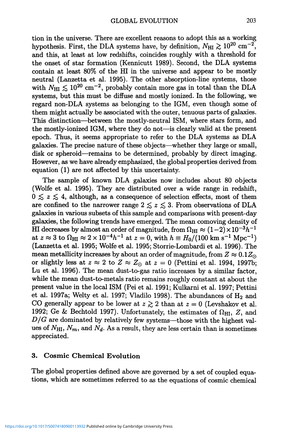tion in the universe. There are excellent reasons to adopt this as a working hypothesis. First, the DLA systems have, by definition,  $N_{\rm HI} \gtrsim 10^{20} \text{ cm}^{-2}$ , and this, at least at low redshifts, coincides roughly with a threshold for the onset of star formation (Kennicutt 1989). Second, the DLA systems contain at least 80% of the HI in the universe and appear to be mostly neutral (Lanzetta et al. 1995). The other absorption-line systems, those with  $N_{\rm HI} \lesssim 10^{20}$  cm<sup>-2</sup>, probably contain more gas in total than the DLA systems, but this must be diffuse and mostly ionized. In the following, we regard non-DLA systems as belonging to the IGM, even though some of them might actually be associated with the outer, tenuous parts of galaxies. This distinction-between the mostly-neutral ISM, where stars form, and the mostly-ionized IGM, where they do not-is clearly valid at the present epoch. Thus, it seems appropriate to refer to the DLA systems as DLA galaxies. The precise nature of these objects-whether they large or small, disk or spheroid—remains to be determined, probably by direct imaging. However, as we have already emphasized, the global properties derived from equation (1) are not affected by this uncertainty.

The sample of known DLA galaxies now includes about 80 objects (Wolfe et al. 1995). They are distributed over a wide range in redshift,  $0 \leq z \leq 4$ , although, as a consequence of selection effects, most of them are confined to the narrower range  $2 \le z \le 3$ . From observations of DLA galaxies in various subsets of this sample and comparisons with present-day galaxies, the following trends have emerged. The mean comoving density of HI decreases by almost an order of magnitude, from  $\Omega_{\rm HI} \approx (1-2) \times 10^{-3} h^{-1}$ at  $z \approx 3$  to  $\Omega_{\text{HI}} \approx 2 \times 10^{-4} h^{-1}$  at  $z = 0$ , with  $h \equiv H_0/(100 \text{ km s}^{-1} \text{ Mpc}^{-1})$ (Lanzetta et al. 1995; Wolfe et al. 1995; Storrie-Lombardi et al. 1996). The mean metallicity increases by about an order of magnitude, from  $Z \approx 0.1 Z_{\odot}$ or slightly less at  $z \approx 2$  to  $Z \approx Z_0$  at  $z = 0$  (Pettini et al. 1994, 1997b; Lu et al. 1996). The mean dust-to-gas ratio increases by a similar factor, while the mean dust-to-metals ratio remains roughly constant at about the present value in the local ISM (Pei et al. 1991; Kulkarni et al. 1997; Pettini et al. 1997a; Welty et al. 1997; Vladilo 1998). The abundances of  $H_2$  and CO generally appear to be lower at  $z \geq 2$  than at  $z = 0$  (Levshakov et al. 1992; Ge & Bechtold 1997). Unfortunately, the estimates of  $\Omega_{\rm HI}$ , *Z*, and  $D/G$  are dominated by relatively few systems—those with the highest values of  $N_{\text{HI}}$ ,  $N_m$ , and  $N_d$ . As a result, they are less certain than is sometimes appreciated.

#### 3. Cosmic Chemical Evolution

The global properties defined above are governed by a set of coupled equations, which are sometimes referred to as the equations of cosmic chemical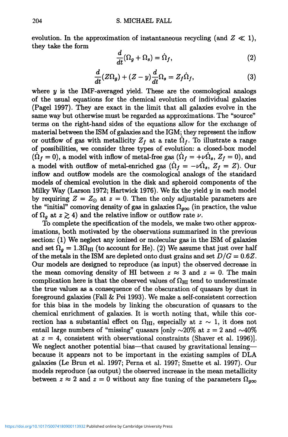evolution. In the approximation of instantaneous recycling (and  $Z \ll 1$ ), they take the form

$$
\frac{d}{dt}(\Omega_g + \Omega_s) = \dot{\Omega}_f,\tag{2}
$$

$$
\frac{d}{dt}(\Omega_g + \Omega_s) = \dot{\Omega}_f,
$$
\n
$$
\frac{d}{dt}(Z\Omega_g) + (Z - y)\frac{d}{dt}\Omega_s = Z_f \dot{\Omega}_f,
$$
\n(3)

where *y* is the IMF-averaged yield. These are the cosmological analogs of the usual equations for the chemical evolution of individual galaxies (Pagel 1997). They are exact in the limit that all galaxies evolve in the same way but otherwise must be regarded *as* approximations. The "source" terms on the right-hand sides of the equations allow for the exchange of material between the ISM of galaxies and the IGM; they represent the inflow or outflow of gas with metallicity  $Z_f$  at a rate  $\dot{\Omega}_f$ . To illustrate a range of possibilities, we consider three types of evolution: a closed-box model  $(\dot{\Omega}_f = 0)$ , a model with inflow of metal-free gas  $(\dot{\Omega}_f = +\nu \dot{\Omega}_s, Z_f = 0)$ , and a model with outflow of metal-enriched gas  $(\dot{\Omega}_f = -\nu \dot{\Omega}_s, Z_f = Z)$ . Our inflow and outflow models are the cosmological analogs of the standard models of chemical evolution in the disk and spheroid components of the Milky Way (Larson 1972; Hartwick 1976). We fix the yield *y* in each model by requiring  $Z = Z_{\odot}$  at  $z = 0$ . Then the only adjustable parameters are the "initial" comoving density of gas in galaxies  $\Omega_{g\infty}$  (in practice, the value of  $\Omega_q$  at  $z \geq 4$ ) and the relative inflow or outflow rate  $\nu$ .

To complete the specification of the models, we make two other approximations, both motivated by the observations summarized in the previous section: (1) We neglect any ionized or molecular gas in the ISM of galaxies and set  $\Omega_q = 1.3 \Omega_{\text{HI}}$  (to account for He). (2) We assume that just over half of the metals in the ISM are depleted onto dust grains and set  $D/G = 0.6Z$ . Our models are designed to reproduce *(as* input) the observed decrease in the mean comoving density of HI between  $z \approx 3$  and  $z = 0$ . The main complication here is that the observed values of  $\Omega_{\rm HI}$  tend to underestimate the true values as a consequence of the obscuration of quasars by dust in foreground galaxies (Fall & Pei 1993). We make a self-consistent correction for this bias in the models by linking the obscuration of quasars to the chemical enrichment of galaxies. It is worth noting that, while this correction has a substantial effect on  $\Omega_{\rm HI}$ , especially at  $z \sim 1$ , it does not entail large numbers of "missing" quasars [only  $\sim$ 20% at  $z = 2$  and  $\sim$ 40% at  $z = 4$ , consistent with observational constraints (Shaver et al. 1996). We neglect another potential bias—that caused by gravitational lensing because it appears not to be important in the existing samples of DLA galaxies (Le Brun et al. 1997; Perna et al. 1997; Smette et al. 1997). Our models reproduce *(as* output) the observed increase in the mean metallicity between  $z \approx 2$  and  $z = 0$  without any fine tuning of the parameters  $\Omega_{q\infty}$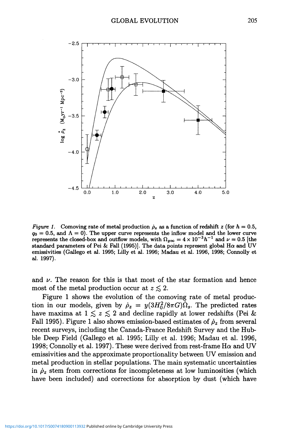

*Figure 1.* Comoving rate of metal production  $\rho_z$  as a function of redshift z (for  $h = 0.5$ ,  $q_0 = 0.5$ , and  $\Lambda = 0$ ). The upper curve represents the inflow model and the lower curve represents the closed-box and outflow models, with  $\Omega_{g\infty} = 4 \times 10^{-3} h^{-1}$  and  $\nu = 0.5$  [the standard parameters of Pei & Fall (1995)]. The data points represent global H $\alpha$  and UV emissivities (Gallego et al. 1995; Lilly et al. 1996; Madau et al. 1996, 1998; Connolly et al. 1997).

and  $\nu$ . The reason for this is that most of the star formation and hence most of the metal production occur at  $z \lesssim 2$ .

Figure 1 shows the evolution of the comoving rate of metal production in our models, given by  $\rho_z = y(3H_0^2/8\pi G)\dot{\Omega}_s$ . The predicted rates have maxima at  $1 \leq z \leq 2$  and decline rapidly at lower redshifts (Pei & Fall 1995). Figure 1 also shows emission-based estimates of  $\dot{\rho}_z$  from several recent surveys, including the Canada-France Redshift Survey and the Hubble Deep Field (Gallego et al. 1995; Lilly et al. 1996; Madau et al. 1996, 1998; Connolly et al. 1997). These were derived from rest-frame H $\alpha$  and UV emissivities and the approximate proportionality between UV emission and metal production in stellar populations. The main systematic uncertainties in  $\rho_z$  stem from corrections for incompleteness at low luminosities (which have been included) and corrections for absorption by dust (which have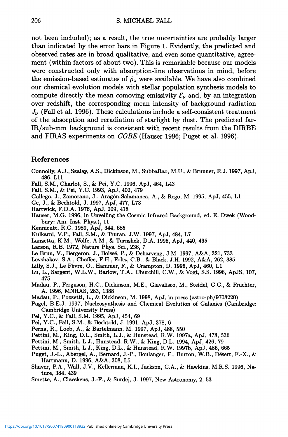not been included); as a result, the true uncertainties are probably larger than indicated by the error bars in Figure 1. Evidently, the predicted and observed rates are in broad qualitative, and even some quantitative, agreement (within factors of about two). This is remarkable because our models were constructed only with absorption-line observations in mind, before the emission-based estimates of  $\rho_z$  were available. We have also combined our chemical evolution models with stellar population synthesis models to compute directly the mean comoving emissivity  $\mathcal{E}_{\nu}$  and, by an integration over redshift, the corresponding mean intensity of background radiation  $J_{\nu}$  (Fall et al. 1996). These calculations include a self-consistent treatment of the absorption and reradiation of starlight by dust. The predicted far-IR/sub-mm background is consistent with recent results from the DIRBE and FIRAS experiments on *COBE* (Hauser 1996; Puget et al. 1996).

## References

- Connolly, A.J., Szalay, A.S., Dickinson, M., SubbaRao, M.U., & Brunner, R.J. 1997, ApJ, 486, L11
- Fall, S.M., Charlot, S., & Pei, Y.C. 1996, ApJ, 464, L43
- Fall, S.M., & Pei, Y.C. 1993, ApJ, 402, 479
- Gallego, J., Zamorano, J., Aragón-Salamanca, A., & Rego, M. 1995, ApJ, 455, L1
- Ge, J., & Bechtold, J. 1997, ApJ, 477, L73
- Hartwick, F.D.A. 1976, ApJ, 209, 418
- Hauser, M.G. 1996, in Unveiling the Cosmic Infrared Background, ed. E. Dwek (Woodbury: Am. Inst. Phys.), 11
- Kennicutt, R.C. 1989, ApJ, 344, 685
- Kulkarni, V.P., Fall, S.M., & Truran, J.W. 1997, ApJ, 484, L7
- Lanzetta, K.M., Wolfe, A.M., & Turnshek, D.A. 1995, ApJ, 440, 435
- Larson, R.B. 1972, Nature Phys. Sci., 236, 7
- Le Brun, V., Bergeron, J., Boisse, P., & Deharveng, J.M. 1997, A&A, 321, 733
- Levshakov, S.A., Chaffee, F.H., Foltz, C.B., & Black, J.H. 1992, A&A, 262, 385
- Lilly, S.J., Le Fevre, 0., Hammer, F., & Crampton, D. 1996, ApJ, 460, L1
- Lu, L., Sargent, W.L.W., Barlow, T.A., Churchill, C.W., & Vogt, S.S. 1996, ApJS, 107, 475
- Madan, P., Ferguson, H.C., Dickinson, M.E., Giavalisco, M., Steidel, C.C., & Fruchter, A. 1996, MNRAS, 283, 1388
- Madau, P., Pozzetti, L., & Dickinson, M. 1998, ApJ, in press (astro-ph/9708220)
- Pagel, B.E.J. 1997, Nucleosynthesis and Chemical Evolution of Galaxies (Cambridge: Cambridge University Press)
- Pei, Y.C., & Fall, S.M. 1995, ApJ, 454, 69
- Pei, Y.C., Fall, S.M., & Bechtold, J. 1991, ApJ, 378,6
- Perna, R., Loeb, A., & Bartelmann, M. 1997, ApJ, 488, 550
- Pettini, M., King, D.L., Smith, L.J., & Hunstead, R.W. 1997a, ApJ, 478, 536
- Pettini, M., Smith, L.J., Hunstead, R.W., & King, D.L. 1994, ApJ, 426, 79
- Pettini, M., Smith, L.J., King, D.L., & Hunstead, R.W. 1997b, ApJ, 486, 665
- Puget, J.-L., Abergel, A., Bernard, J.-P., Boulanger, F., Burton, W.B., Désert, F.-X., & Hartmann, D. 1996, A&A, 308, L5
- Shaver, P.A., Wall, J.V., Kellerman, K.L, Jackson, C.A., & Hawkins, M.R.S. 1996, Nature, 384, 439
- Smette, A., Claeskens, J.-F., & Surdej, J. 1997, New Astronomy, 2, 53